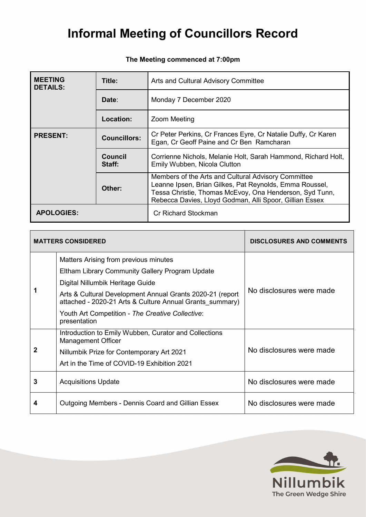## **The Meeting commenced at 7:00pm**

| <b>MEETING</b><br><b>DETAILS:</b>      | Title:                   | Arts and Cultural Advisory Committee                                                                                                                                                                                                 |  |
|----------------------------------------|--------------------------|--------------------------------------------------------------------------------------------------------------------------------------------------------------------------------------------------------------------------------------|--|
|                                        | Date:                    | Monday 7 December 2020                                                                                                                                                                                                               |  |
|                                        | <b>Location:</b>         | <b>Zoom Meeting</b>                                                                                                                                                                                                                  |  |
| <b>PRESENT:</b><br><b>Councillors:</b> |                          | Cr Peter Perkins, Cr Frances Eyre, Cr Natalie Duffy, Cr Karen<br>Egan, Cr Geoff Paine and Cr Ben Ramcharan                                                                                                                           |  |
|                                        | <b>Council</b><br>Staff: | Corrienne Nichols, Melanie Holt, Sarah Hammond, Richard Holt,<br>Emily Wubben, Nicola Clutton                                                                                                                                        |  |
|                                        | Other:                   | Members of the Arts and Cultural Advisory Committee<br>Leanne Ipsen, Brian Gilkes, Pat Reynolds, Emma Roussel,<br>Tessa Christie, Thomas McEvoy, Ona Henderson, Syd Tunn,<br>Rebecca Davies, Lloyd Godman, Alli Spoor, Gillian Essex |  |
| <b>APOLOGIES:</b>                      |                          | Cr Richard Stockman                                                                                                                                                                                                                  |  |

|   | <b>MATTERS CONSIDERED</b>                                                                                             | <b>DISCLOSURES AND COMMENTS</b> |  |
|---|-----------------------------------------------------------------------------------------------------------------------|---------------------------------|--|
|   | Matters Arising from previous minutes                                                                                 |                                 |  |
|   | Eltham Library Community Gallery Program Update                                                                       | No disclosures were made        |  |
|   | Digital Nillumbik Heritage Guide                                                                                      |                                 |  |
|   | Arts & Cultural Development Annual Grants 2020-21 (report<br>attached - 2020-21 Arts & Culture Annual Grants summary) |                                 |  |
|   | Youth Art Competition - The Creative Collective:<br>presentation                                                      |                                 |  |
| 2 | Introduction to Emily Wubben, Curator and Collections<br><b>Management Officer</b>                                    |                                 |  |
|   | No disclosures were made<br>Nillumbik Prize for Contemporary Art 2021                                                 |                                 |  |
|   | Art in the Time of COVID-19 Exhibition 2021                                                                           |                                 |  |
| 3 | <b>Acquisitions Update</b>                                                                                            | No disclosures were made        |  |
| 4 | Outgoing Members - Dennis Coard and Gillian Essex                                                                     | No disclosures were made        |  |

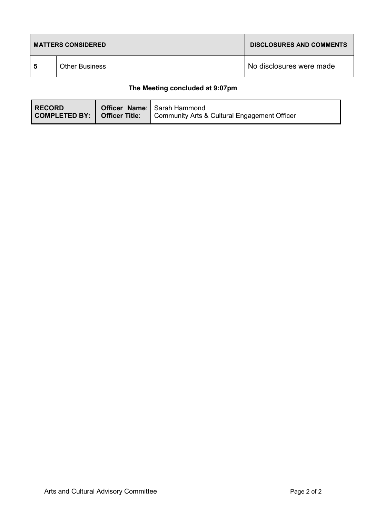| <b>MATTERS CONSIDERED</b> |                       | <b>DISCLOSURES AND COMMENTS</b> |
|---------------------------|-----------------------|---------------------------------|
| 5                         | <b>Other Business</b> | No disclosures were made        |

## **The Meeting concluded at 9:07pm**

| <b>RECORD</b><br>COMPLETED BY:   Officer Title: | <b>Officer Name:</b> Sarah Hammond<br>Community Arts & Cultural Engagement Officer |
|-------------------------------------------------|------------------------------------------------------------------------------------|
|                                                 |                                                                                    |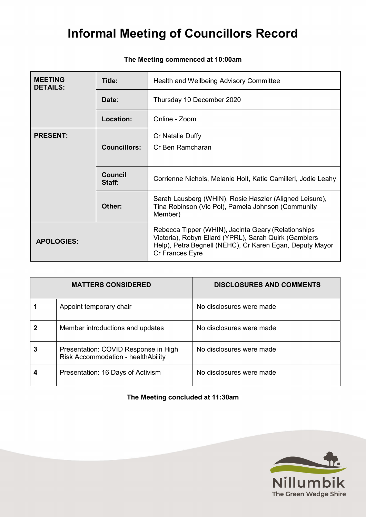| <b>MEETING</b><br><b>DETAILS:</b> | Title:                   | Health and Wellbeing Advisory Committee                                                                                                                                                     |
|-----------------------------------|--------------------------|---------------------------------------------------------------------------------------------------------------------------------------------------------------------------------------------|
| Date:                             |                          | Thursday 10 December 2020                                                                                                                                                                   |
|                                   | Location:                | Online - Zoom                                                                                                                                                                               |
| <b>PRESENT:</b>                   |                          | Cr Natalie Duffy                                                                                                                                                                            |
|                                   | <b>Councillors:</b>      | Cr Ben Ramcharan                                                                                                                                                                            |
|                                   |                          |                                                                                                                                                                                             |
|                                   | <b>Council</b><br>Staff: | Corrienne Nichols, Melanie Holt, Katie Camilleri, Jodie Leahy                                                                                                                               |
|                                   | Other:                   | Sarah Lausberg (WHIN), Rosie Haszler (Aligned Leisure),<br>Tina Robinson (Vic Pol), Pamela Johnson (Community<br>Member)                                                                    |
| <b>APOLOGIES:</b>                 |                          | Rebecca Tipper (WHIN), Jacinta Geary (Relationships<br>Victoria), Robyn Ellard (YPRL), Sarah Quirk (Gamblers<br>Help), Petra Begnell (NEHC), Cr Karen Egan, Deputy Mayor<br>Cr Frances Eyre |

### **The Meeting commenced at 10:00am**

|   | <b>MATTERS CONSIDERED</b>                                                  | <b>DISCLOSURES AND COMMENTS</b> |
|---|----------------------------------------------------------------------------|---------------------------------|
|   | Appoint temporary chair                                                    | No disclosures were made        |
|   | Member introductions and updates                                           | No disclosures were made        |
| 3 | Presentation: COVID Response in High<br>Risk Accommodation - healthAbility | No disclosures were made        |
|   | Presentation: 16 Days of Activism                                          | No disclosures were made        |

**The Meeting concluded at 11:30am**

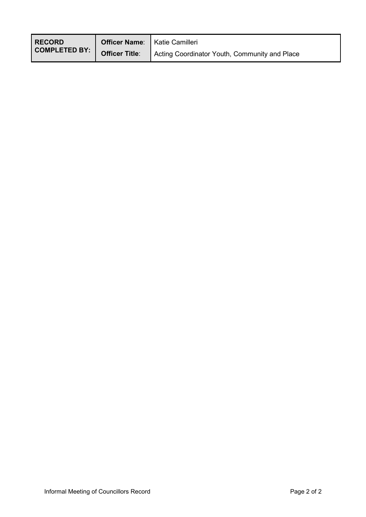| <b>RECORD</b><br>COMPLETED BY:   Officer Title:   Action | <b>Officer Name:</b>   Katie Camilleri |                                               |
|----------------------------------------------------------|----------------------------------------|-----------------------------------------------|
|                                                          |                                        | Acting Coordinator Youth, Community and Place |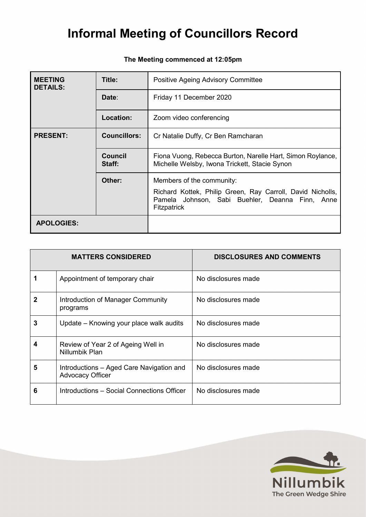| <b>MEETING</b><br><b>DETAILS:</b> | Title:              | Positive Ageing Advisory Committee                                                                                           |  |
|-----------------------------------|---------------------|------------------------------------------------------------------------------------------------------------------------------|--|
|                                   | Date:               | Friday 11 December 2020                                                                                                      |  |
|                                   | <b>Location:</b>    | Zoom video conferencing                                                                                                      |  |
| <b>PRESENT:</b>                   | <b>Councillors:</b> | Cr Natalie Duffy, Cr Ben Ramcharan                                                                                           |  |
|                                   | Council<br>Staff:   | Fiona Vuong, Rebecca Burton, Narelle Hart, Simon Roylance,<br>Michelle Welsby, Iwona Trickett, Stacie Synon                  |  |
|                                   | Other:              | Members of the community:                                                                                                    |  |
|                                   |                     | Richard Kottek, Philip Green, Ray Carroll, David Nicholls,<br>Pamela Johnson, Sabi Buehler, Deanna Finn, Anne<br>Fitzpatrick |  |
| <b>APOLOGIES:</b>                 |                     |                                                                                                                              |  |

### **The Meeting commenced at 12:05pm**

|   | <b>MATTERS CONSIDERED</b>                                    | <b>DISCLOSURES AND COMMENTS</b> |
|---|--------------------------------------------------------------|---------------------------------|
|   | Appointment of temporary chair                               | No disclosures made             |
| 2 | Introduction of Manager Community<br>programs                | No disclosures made             |
| 3 | Update – Knowing your place walk audits                      | No disclosures made             |
| 4 | Review of Year 2 of Ageing Well in<br>Nillumbik Plan         | No disclosures made             |
| 5 | Introductions - Aged Care Navigation and<br>Advocacy Officer | No disclosures made             |
| 6 | Introductions – Social Connections Officer                   | No disclosures made             |

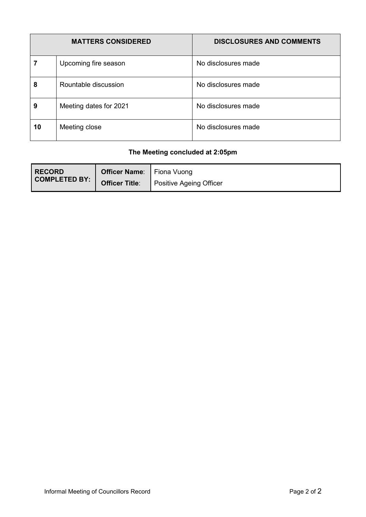|    | <b>MATTERS CONSIDERED</b> | <b>DISCLOSURES AND COMMENTS</b> |
|----|---------------------------|---------------------------------|
|    | Upcoming fire season      | No disclosures made             |
| 8  | Rountable discussion      | No disclosures made             |
| 9  | Meeting dates for 2021    | No disclosures made             |
| 10 | Meeting close             | No disclosures made             |

### **The Meeting concluded at 2:05pm**

| <b>RECORD</b><br>COMPLETED BY:   Officer Title:   D | <b>Officer Name:</b> Fiona Vuong |                                |
|-----------------------------------------------------|----------------------------------|--------------------------------|
|                                                     |                                  | <b>Positive Ageing Officer</b> |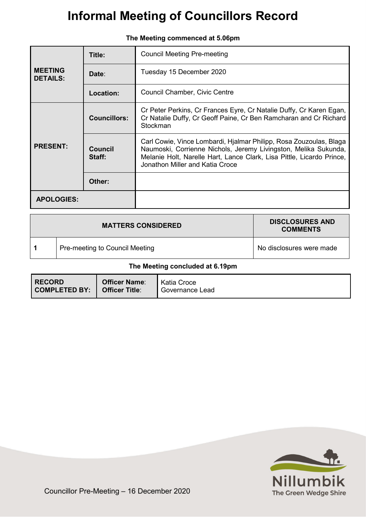|                                   | Title:              | <b>Council Meeting Pre-meeting</b>                                                                                                                                                                                                                |
|-----------------------------------|---------------------|---------------------------------------------------------------------------------------------------------------------------------------------------------------------------------------------------------------------------------------------------|
| <b>MEETING</b><br><b>DETAILS:</b> | Date:               | Tuesday 15 December 2020                                                                                                                                                                                                                          |
|                                   | <b>Location:</b>    | Council Chamber, Civic Centre                                                                                                                                                                                                                     |
| <b>PRESENT:</b>                   | <b>Councillors:</b> | Cr Peter Perkins, Cr Frances Eyre, Cr Natalie Duffy, Cr Karen Egan,<br>Cr Natalie Duffy, Cr Geoff Paine, Cr Ben Ramcharan and Cr Richard<br>Stockman                                                                                              |
|                                   | Council<br>Staff:   | Carl Cowie, Vince Lombardi, Hjalmar Philipp, Rosa Zouzoulas, Blaga<br>Naumoski, Corrienne Nichols, Jeremy Livingston, Melika Sukunda,<br>Melanie Holt, Narelle Hart, Lance Clark, Lisa Pittle, Licardo Prince,<br>Jonathon Miller and Katia Croce |
|                                   | Other:              |                                                                                                                                                                                                                                                   |
| <b>APOLOGIES:</b>                 |                     |                                                                                                                                                                                                                                                   |

|  | The Meeting commenced at 5.06pm |  |  |
|--|---------------------------------|--|--|
|--|---------------------------------|--|--|

| <b>MATTERS CONSIDERED</b>       |                                | <b>DISCLOSURES AND</b><br><b>COMMENTS</b> |
|---------------------------------|--------------------------------|-------------------------------------------|
|                                 | Pre-meeting to Council Meeting | No disclosures were made                  |
| The Meeting concluded at 6.19pm |                                |                                           |

| <b>RECORD</b>        | <b>Officer Name:</b>  | Katia Croce     |
|----------------------|-----------------------|-----------------|
| <b>COMPLETED BY:</b> | <b>Officer Title:</b> | Governance Lead |
|                      |                       |                 |

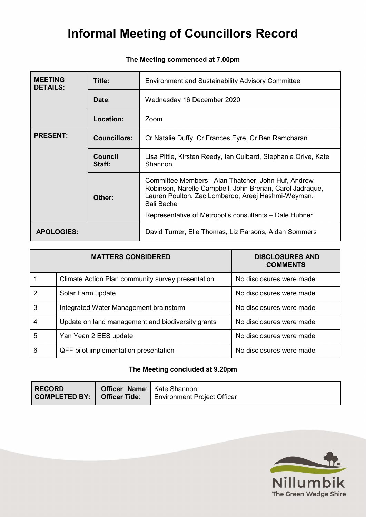### **The Meeting commenced at 7.00pm**

| <b>MEETING</b><br><b>DETAILS:</b> | Title:              | <b>Environment and Sustainability Advisory Committee</b>                                                                                                                            |  |
|-----------------------------------|---------------------|-------------------------------------------------------------------------------------------------------------------------------------------------------------------------------------|--|
|                                   | Date:               | Wednesday 16 December 2020                                                                                                                                                          |  |
|                                   | <b>Location:</b>    | Zoom                                                                                                                                                                                |  |
| <b>PRESENT:</b>                   | <b>Councillors:</b> | Cr Natalie Duffy, Cr Frances Eyre, Cr Ben Ramcharan                                                                                                                                 |  |
|                                   | Council<br>Staff:   | Lisa Pittle, Kirsten Reedy, Ian Culbard, Stephanie Orive, Kate<br>Shannon                                                                                                           |  |
|                                   | Other:              | Committee Members - Alan Thatcher, John Huf, Andrew<br>Robinson, Narelle Campbell, John Brenan, Carol Jadraque,<br>Lauren Poulton, Zac Lombardo, Areej Hashmi-Weyman,<br>Sali Bache |  |
|                                   |                     | Representative of Metropolis consultants – Dale Hubner                                                                                                                              |  |
| <b>APOLOGIES:</b>                 |                     | David Turner, Elle Thomas, Liz Parsons, Aidan Sommers                                                                                                                               |  |

| <b>MATTERS CONSIDERED</b> |                                                   | <b>DISCLOSURES AND</b><br><b>COMMENTS</b> |
|---------------------------|---------------------------------------------------|-------------------------------------------|
|                           | Climate Action Plan community survey presentation | No disclosures were made                  |
| 2                         | Solar Farm update                                 | No disclosures were made                  |
| 3                         | Integrated Water Management brainstorm            | No disclosures were made                  |
|                           | Update on land management and biodiversity grants | No disclosures were made                  |
| 5                         | Yan Yean 2 EES update                             | No disclosures were made                  |
| 6                         | QFF pilot implementation presentation             | No disclosures were made                  |

### **The Meeting concluded at 9.20pm**

| <b>RECORD</b><br>$ $ COMPLETED BY: $ $ | <b>Officer Name:</b>   Kate Shannon<br><b>Officer Title:</b> | Environment Project Officer |
|----------------------------------------|--------------------------------------------------------------|-----------------------------|
|                                        |                                                              |                             |